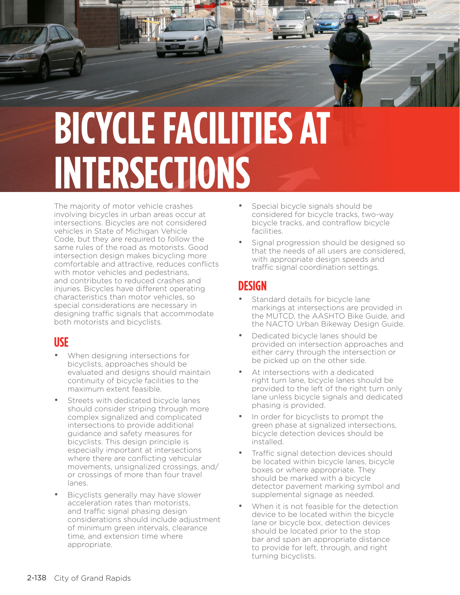

# **BICYCLE FACILITIES AT INTERSECTIONS**

The majority of motor vehicle crashes involving bicycles in urban areas occur at intersections. Bicycles are not considered vehicles in State of Michigan Vehicle Code, but they are required to follow the same rules of the road as motorists. Good intersection design makes bicycling more comfortable and attractive, reduces conflicts with motor vehicles and pedestrians. and contributes to reduced crashes and injuries. Bicycles have different operating characteristics than motor vehicles, so special considerations are necessary in designing traffic signals that accommodate both motorists and bicyclists.

## **USE**

- When designing intersections for bicyclists, approaches should be evaluated and designs should maintain continuity of bicycle facilities to the maximum extent feasible.
- Streets with dedicated bicycle lanes should consider striping through more complex signalized and complicated intersections to provide additional guidance and safety measures for bicyclists. This design principle is especially important at intersections where there are conflicting vehicular movements, unsignalized crossings, and/ or crossings of more than four travel lanes.
- Bicyclists generally may have slower acceleration rates than motorists, and traffic signal phasing design considerations should include adjustment of minimum green intervals, clearance time, and extension time where appropriate.
- Special bicycle signals should be considered for bicycle tracks, two-way bicycle tracks, and contraflow bicycle facilities.
- Signal progression should be designed so that the needs of all users are considered, with appropriate design speeds and traffic signal coordination settings.

#### **DESIGN**

- Standard details for bicycle lane markings at intersections are provided in the MUTCD, the AASHTO Bike Guide, and the NACTO Urban Bikeway Design Guide.
- Dedicated bicycle lanes should be provided on intersection approaches and either carry through the intersection or be picked up on the other side.
- At intersections with a dedicated right turn lane, bicycle lanes should be provided to the left of the right turn only lane unless bicycle signals and dedicated phasing is provided.
- In order for bicyclists to prompt the green phase at signalized intersections, bicycle detection devices should be installed.
- Traffic signal detection devices should be located within bicycle lanes, bicycle boxes or where appropriate. They should be marked with a bicycle detector pavement marking symbol and supplemental signage as needed.
- When it is not feasible for the detection device to be located within the bicycle lane or bicycle box, detection devices should be located prior to the stop bar and span an appropriate distance to provide for left, through, and right turning bicyclists.